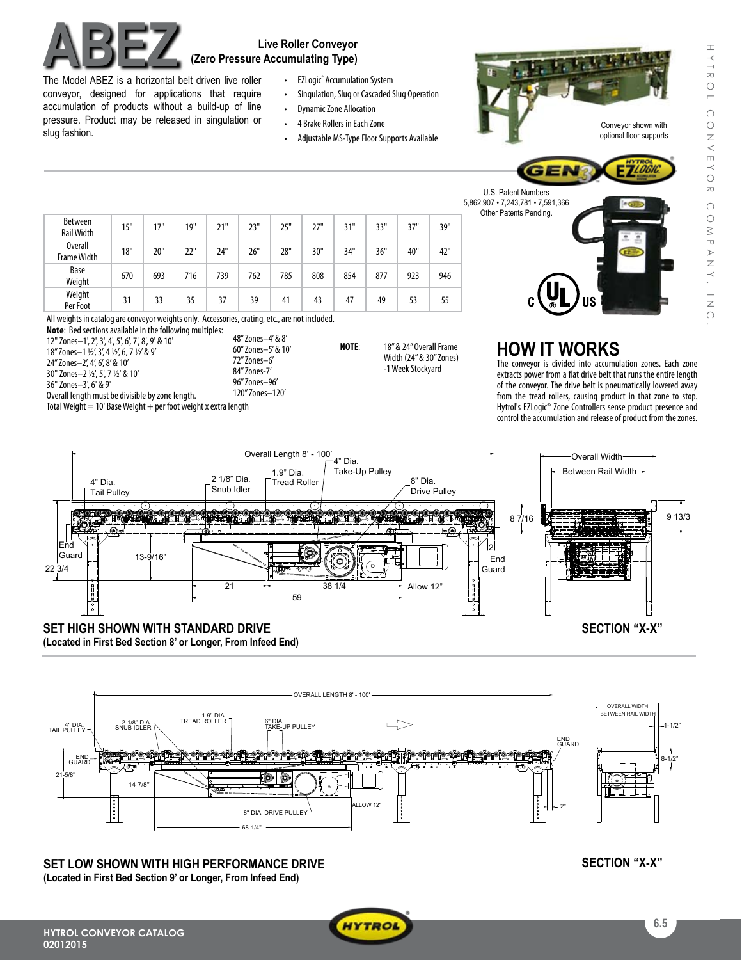# **ABEZ Live Roller Conveyor**<br> **Live Roller Conveyor**<br> **EXECUTE:** The Martin ABEZ is a history to the discussion of the cumulating Type **(Zero Pressure Accumulating Type)**

The Model ABEZ is a horizontal belt driven live roller conveyor, designed for applications that require accumulation of products without a build-up of line pressure. Product may be released in singulation or slug fashion.

- EZLogic® Accumulation System
- Singulation, Slug or Cascaded Slug Operation
- • DynamicZone Allocation
- • 4 Brake Rollers in Each Zone
- Adjustable MS-Type Floor Supports Available



| U.S. Patent Numbers               |    |
|-----------------------------------|----|
| 5,862,907 • 7,243,781 • 7,591,366 |    |
| Other Patents Pending.            |    |
|                                   |    |
|                                   |    |
|                                   |    |
|                                   |    |
|                                   |    |
| C                                 | US |
|                                   |    |
|                                   |    |

| <b>Between</b><br><b>Rail Width</b>  | 15" | 17" | 19" | 21" | 23" | 25" | 27" | 31" | 33" | 37" | 39" |
|--------------------------------------|-----|-----|-----|-----|-----|-----|-----|-----|-----|-----|-----|
| <b>Overall</b><br><b>Frame Width</b> | 18" | 20" | 22" | 24" | 26" | 28" | 30" | 34" | 36" | 40" | 42" |
| Base<br>Weight                       | 670 | 693 | 716 | 739 | 762 | 785 | 808 | 854 | 877 | 923 | 946 |
| Weight<br>Per Foot                   | 31  | 33  | 35  | 37  | 39  | 41  | 43  | 47  | 49  | 53  | 55  |

All weights in catalog are conveyor weights only. Accessories, crating, etc., are not included.

**Note**: Bed sections available in the following multiples:

12" Zones–1', 2', 3', 4', 5', 6', 7', 8', 9' & 10' 18" Zones–1 1/2', 3', 4 1/2', 6, 7 1/2' & 9'

Overall length must be divisible by zone length.

Total Weight = 10' Base Weight  $+$  per foot weight x extra length

24" Zones–2', 4', 6', 8' & 10' 30" Zones–2 1/2', 5', 7 1/2' & 10' 36" Zones–3', 6' & 9'

60" Zones–5' & 10' 72" Zones–6' 84"Zones-7' 96" Zones–96' 120" Zones–120'

48" Zones–4' & 8'

**NOTE**: 18" & 24" Overall Frame Width (24" & 30" Zones) -1 Week Stockyard

# **HOW IT WORKS**

The conveyor is divided into accumulation zones. Each zone extracts power from a flat drive belt that runs the entire length of the conveyor. The drive belt is pneumatically lowered away from the tread rollers, causing product in that zone to stop. Hytrol's EZLogic® Zone Controllers sense product presence and control the accumulation and release of product from the zones.



**(Located in First Bed Section 8' or Longer, From Infeed End)**



### **SET LOW SHOWN WITH HIGH PERFORMANCE DRIVE (Located in First Bed Section 9' or Longer, From Infeed End)**

### **SECTION "X-X"**